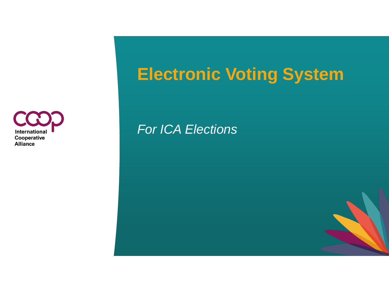

# **Electronic Voting System**

*For ICA Elections*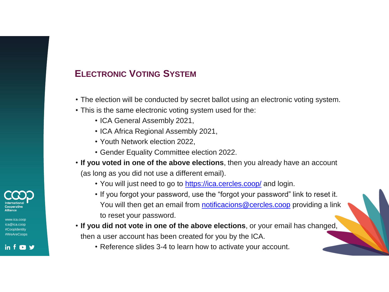# **ELECTRONIC VOTING SYSTEM**

- The election will be conducted by secret ballot using an electronic voting system.
- This is the same electronic voting system used for the:
	- ICA General Assembly 2021,
	- ICA Africa Regional Assembly 2021,
	- Youth Network election 2022,
	- Gender Equality Committee election 2022.
- **If you voted in one of the above elections**, then you already have an account (as long as you did not use a different email).
	- You will just need to go to <https://ica.cercles.coop/> and login.
	- If you forgot your password, use the "forgot your password" link to reset it. You will then get an email from [notificacions@cercles.coop](mailto:notificacions@cercles.coop) providing a link to reset your password.
- **If you did not vote in one of the above elections**, or your email has changed, then a user account has been created for you by the ICA.
	- Reference slides 3-4 to learn how to activate your account.



www.ica.coop ca@ica.coop #CoopIdentity #WeAreCoops

in f **D** y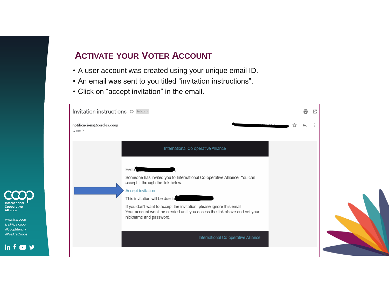#### **ACTIVATE YOUR VOTER ACCOUNT**

- A user account was created using your unique email ID.
- An email was sent to you titled "invitation instructions".
- Click on "accept invitation" in the email.

www.ica.coop ica@ica.coop #CoopIdentity #WeAreCoops

in  $f \bullet y$ 

nternationa Cooperative Alliance

| Invitation instructions $\sum$ [Inbox x]                     |                                                                                                                                                                                                                                                            |  | Г7. |
|--------------------------------------------------------------|------------------------------------------------------------------------------------------------------------------------------------------------------------------------------------------------------------------------------------------------------------|--|-----|
| notificacions@cercles.coop<br>to me $\overline{\phantom{a}}$ |                                                                                                                                                                                                                                                            |  |     |
|                                                              | International Co-operative Alliance                                                                                                                                                                                                                        |  |     |
|                                                              | Hello <sup>1</sup><br><u> Tanzania de la contenentación de la contenentación de la contenentación de la contenentación de la contenentación de la contenentación de la contenentación de la contenentación de la contenentación de la contenentación d</u> |  |     |
|                                                              | Someone has invited you to International Co-operative Alliance. You can<br>accept it through the link below.                                                                                                                                               |  |     |
|                                                              | <b>Accept invitation</b><br>This invitation will be due in                                                                                                                                                                                                 |  |     |
|                                                              | If you don't want to accept the invitation, please ignore this email.<br>Your account won't be created until you access the link above and set your<br>nickname and password.                                                                              |  |     |
|                                                              |                                                                                                                                                                                                                                                            |  |     |
|                                                              | International Co-operative Alliance                                                                                                                                                                                                                        |  |     |
|                                                              |                                                                                                                                                                                                                                                            |  |     |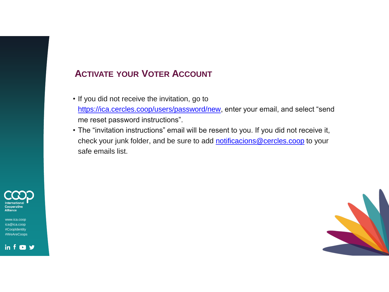#### **ACTIVATE YOUR VOTER ACCOUNT**

- If you did not receive the invitation, go to [https://ica.cercles.coop/users/password/new,](https://ica.cercles.coop/users/password/new) enter your email, and select "send me reset password instructions".
- ` • The "invitation instructions" email will be resent to you. If you did not receive it, check your junk folder, and be sure to add [notificacions@cercles.coop](mailto:notificacions@cercles.coop) to your safe emails list.



www.ica.coop ica@ica.coop #CoopIdentity #WeAreCoops

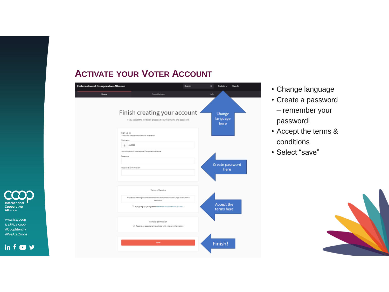#### **ACTIVATE YOUR VOTER ACCOUNT**



- Change language
- Create a password – remember your password!
- Accept the terms & conditions
- Select "save"





ica@ica.coop #CoopIdentity #WeAreCoops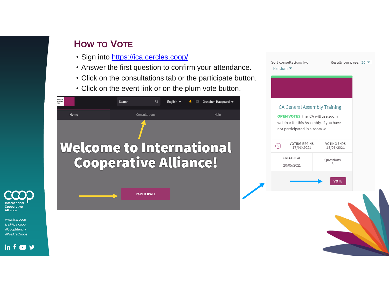www.ica.coop ica@ica.coop #CoopIdentity #WeAreCoops

in  $f$  **D**  $y$ 

Cooperative Alliance

- Sign into <https://ica.cercles.coop/>
- Answer the first question to confirm your attendance.
- Click on the consultations tab or the participate button.
- Click on the event link or on the plum vote button.





Results per page: 20 ▼

Sort consultations by:

Random  $\blacktriangleright$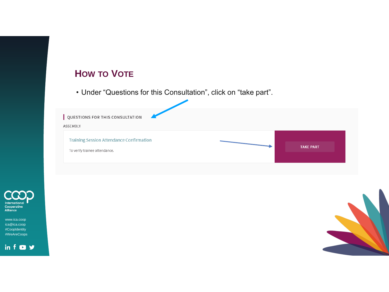• Under "Questions for this Consultation", click on "take part".





www.ica.coop ica@ica.coop #CoopIdentity #WeAreCoops

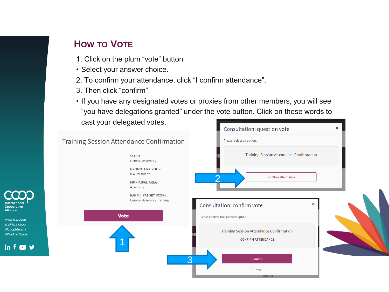www.ica.coop ica@ica.coop #CoopIdentity #WeAreCoops

Cooperative **Alliance** 

- 1. Click on the plum "vote" button
- Select your answer choice.
- 2. To confirm your attendance, click "I confirm attendance".
- 3. Then click "confirm".
- If you have any designated votes or proxies from other members, you will see "you have delegations granted" under the vote button. Click on these words to cast your delegated votes.

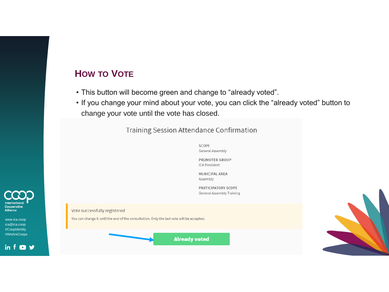- This button will become green and change to "already voted".
- If you change your mind about your vote, you can click the "already voted" button to change your vote until the vote has closed.

#### Training Session Attendance Confirmation

SCOPE General Assembly

PROMOTER GROUP ICA President

MUNICIPAL AREA Assembly

PARTICIPATORY SCOPE General Assembly Training

Vote successfully registered

You can change it until the end of the consultation. Only the last vote will be accepted.

**Already voted** 



Cooperative Alliance

www.ica.coop ica@ica.coop #CoopIdentity #WeAreCoops